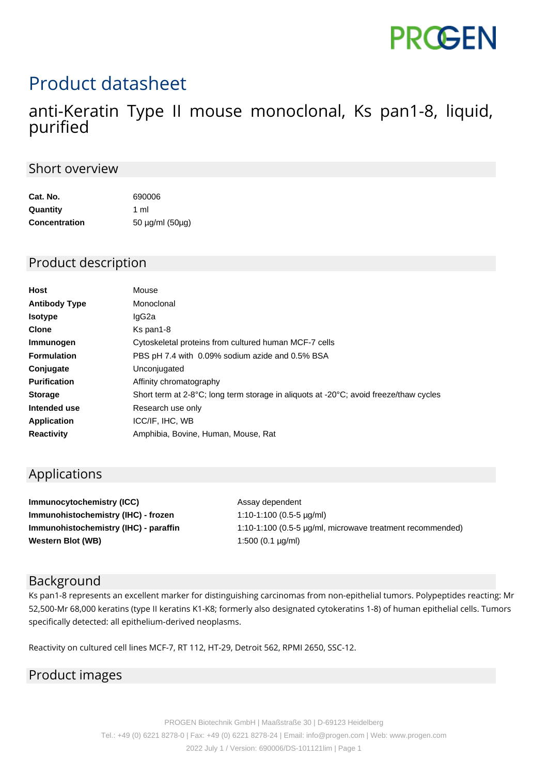# **PROGEN**

## Product datasheet

### anti-Keratin Type II mouse monoclonal, Ks pan1-8, liquid, purified

#### Short overview

| Cat. No.             | 690006<br>1 ml  |  |
|----------------------|-----------------|--|
| Quantity             |                 |  |
| <b>Concentration</b> | 50 µg/ml (50µg) |  |

#### Product description

| Host                 | Mouse                                                                                 |
|----------------------|---------------------------------------------------------------------------------------|
| <b>Antibody Type</b> | Monoclonal                                                                            |
| <b>Isotype</b>       | lgG2a                                                                                 |
| <b>Clone</b>         | Ks pan1-8                                                                             |
| Immunogen            | Cytoskeletal proteins from cultured human MCF-7 cells                                 |
| <b>Formulation</b>   | PBS pH 7.4 with 0.09% sodium azide and 0.5% BSA                                       |
| Conjugate            | Unconjugated                                                                          |
| <b>Purification</b>  | Affinity chromatography                                                               |
| <b>Storage</b>       | Short term at 2-8°C; long term storage in aliguots at -20°C; avoid freeze/thaw cycles |
| Intended use         | Research use only                                                                     |
| <b>Application</b>   | ICC/IF, IHC, WB                                                                       |
| <b>Reactivity</b>    | Amphibia, Bovine, Human, Mouse, Rat                                                   |

#### Applications

**Immunocytochemistry (ICC)** Assay dependent **Immunohistochemistry (IHC) - frozen** 1:10-1:100 (0.5-5 µg/ml) **Immunohistochemistry (IHC) - paraffin** 1:10-1:100 (0.5-5 µg/ml, microwave treatment recommended) **Western Blot (WB)** 1:500 (0.1 µg/ml)

#### Background

Ks pan1-8 represents an excellent marker for distinguishing carcinomas from non-epithelial tumors. Polypeptides reacting: Mr 52,500-Mr 68,000 keratins (type II keratins K1-K8; formerly also designated cytokeratins 1-8) of human epithelial cells. Tumors specifically detected: all epithelium-derived neoplasms.

Reactivity on cultured cell lines MCF-7, RT 112, HT-29, Detroit 562, RPMI 2650, SSC-12.

#### Product images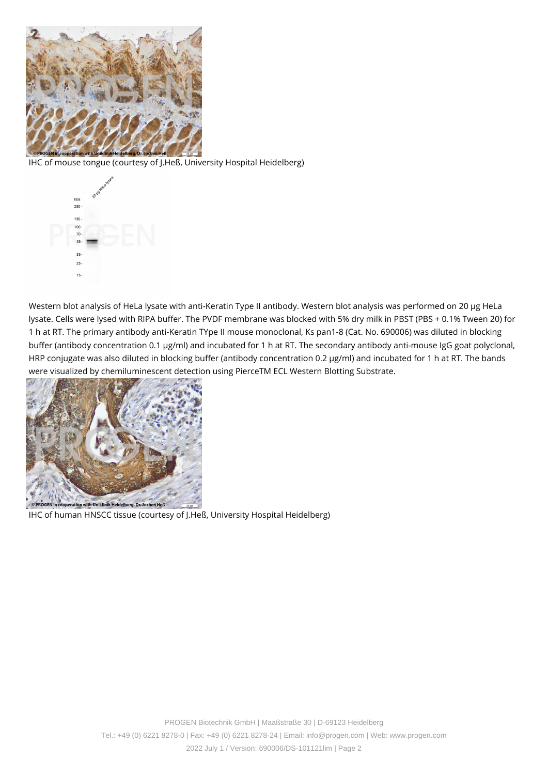

IHC of mouse tongue (courtesy of J.Heß, University Hospital Heidelberg)



Western blot analysis of HeLa lysate with anti-Keratin Type II antibody. Western blot analysis was performed on 20 µg HeLa lysate. Cells were lysed with RIPA buffer. The PVDF membrane was blocked with 5% dry milk in PBST (PBS + 0.1% Tween 20) for 1 h at RT. The primary antibody anti-Keratin TYpe II mouse monoclonal, Ks pan1-8 (Cat. No. 690006) was diluted in blocking buffer (antibody concentration 0.1 µg/ml) and incubated for 1 h at RT. The secondary antibody anti-mouse IgG goat polyclonal, HRP conjugate was also diluted in blocking buffer (antibody concentration 0.2 µg/ml) and incubated for 1 h at RT. The bands were visualized by chemiluminescent detection using PierceTM ECL Western Blotting Substrate.



IHC of human HNSCC tissue (courtesy of J.Heß, University Hospital Heidelberg)